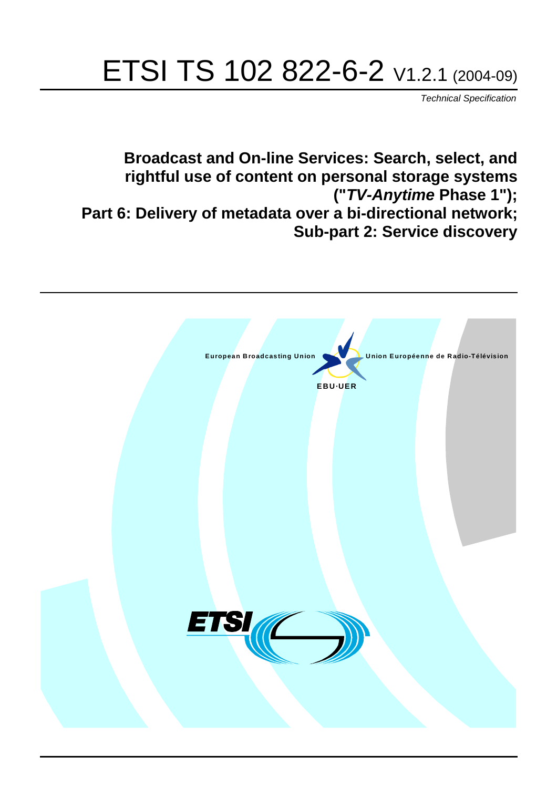# ETSI TS 102 822-6-2 V1.2.1 (2004-09)

Technical Specification

**Broadcast and On-line Services: Search, select, and rightful use of content on personal storage systems ("TV-Anytime Phase 1"); Part 6: Delivery of metadata over a bi-directional network; Sub-part 2: Service discovery**

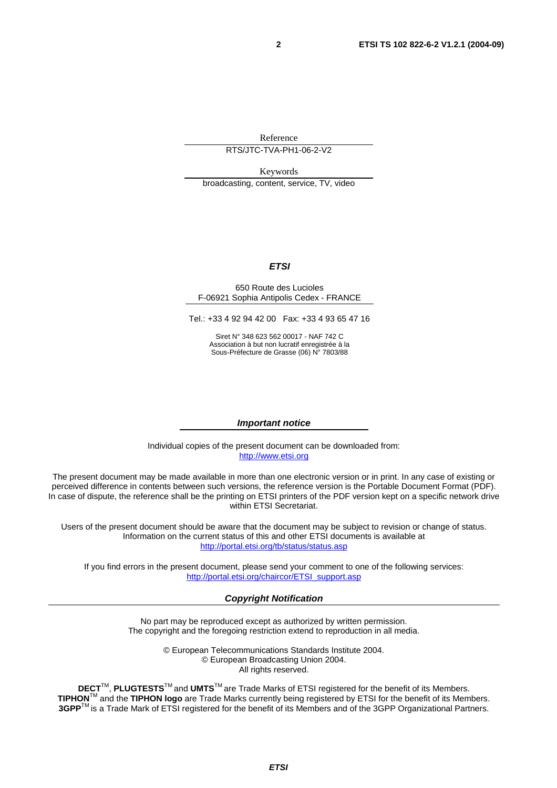Reference

RTS/JTC-TVA-PH1-06-2-V2

Keywords

broadcasting, content, service, TV, video

#### **ETSI**

#### 650 Route des Lucioles F-06921 Sophia Antipolis Cedex - FRANCE

Tel.: +33 4 92 94 42 00 Fax: +33 4 93 65 47 16

Siret N° 348 623 562 00017 - NAF 742 C Association à but non lucratif enregistrée à la Sous-Préfecture de Grasse (06) N° 7803/88

#### **Important notice**

Individual copies of the present document can be downloaded from: [http://www.etsi.org](http://www.etsi.org/)

The present document may be made available in more than one electronic version or in print. In any case of existing or perceived difference in contents between such versions, the reference version is the Portable Document Format (PDF). In case of dispute, the reference shall be the printing on ETSI printers of the PDF version kept on a specific network drive within ETSI Secretariat.

Users of the present document should be aware that the document may be subject to revision or change of status. Information on the current status of this and other ETSI documents is available at <http://portal.etsi.org/tb/status/status.asp>

If you find errors in the present document, please send your comment to one of the following services: [http://portal.etsi.org/chaircor/ETSI\\_support.asp](http://portal.etsi.org/chaircor/ETSI_support.asp)

#### **Copyright Notification**

No part may be reproduced except as authorized by written permission. The copyright and the foregoing restriction extend to reproduction in all media.

> © European Telecommunications Standards Institute 2004. © European Broadcasting Union 2004. All rights reserved.

**DECT**TM, **PLUGTESTS**TM and **UMTS**TM are Trade Marks of ETSI registered for the benefit of its Members. **TIPHON**TM and the **TIPHON logo** are Trade Marks currently being registered by ETSI for the benefit of its Members. **3GPP**TM is a Trade Mark of ETSI registered for the benefit of its Members and of the 3GPP Organizational Partners.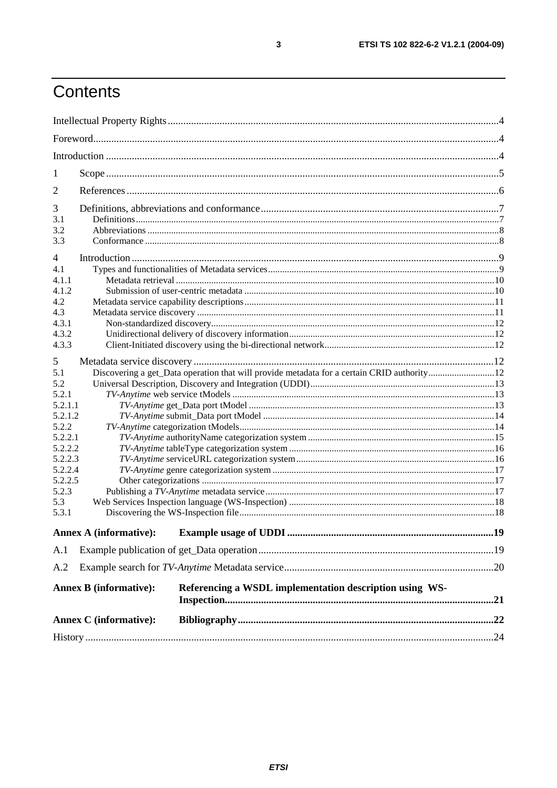## Contents

| 1              |                               |                                                                                            |  |
|----------------|-------------------------------|--------------------------------------------------------------------------------------------|--|
| 2              |                               |                                                                                            |  |
| 3              |                               |                                                                                            |  |
| 3.1            |                               |                                                                                            |  |
| 3.2            |                               |                                                                                            |  |
| 3.3            |                               |                                                                                            |  |
| $\overline{4}$ |                               |                                                                                            |  |
| 4.1            |                               |                                                                                            |  |
| 4.1.1          |                               |                                                                                            |  |
| 4.1.2          |                               |                                                                                            |  |
| 4.2            |                               |                                                                                            |  |
| 4.3            |                               |                                                                                            |  |
| 4.3.1          |                               |                                                                                            |  |
| 4.3.2          |                               |                                                                                            |  |
| 4.3.3          |                               |                                                                                            |  |
| 5              |                               |                                                                                            |  |
| 5.1            |                               | Discovering a get_Data operation that will provide metadata for a certain CRID authority12 |  |
| 5.2            |                               |                                                                                            |  |
| 5.2.1          |                               |                                                                                            |  |
| 5.2.1.1        |                               |                                                                                            |  |
| 5.2.1.2        |                               |                                                                                            |  |
| 5.2.2          |                               |                                                                                            |  |
| 5.2.2.1        |                               |                                                                                            |  |
| 5.2.2.2        |                               |                                                                                            |  |
| 5.2.2.3        |                               |                                                                                            |  |
| 5.2.2.4        |                               |                                                                                            |  |
| 5.2.2.5        |                               |                                                                                            |  |
| 5.2.3          |                               |                                                                                            |  |
| 5.3            |                               |                                                                                            |  |
| 5.3.1          |                               |                                                                                            |  |
|                | <b>Annex A (informative):</b> |                                                                                            |  |
| A.1            |                               |                                                                                            |  |
| A.2            |                               |                                                                                            |  |
|                |                               |                                                                                            |  |
|                | <b>Annex B</b> (informative): | Referencing a WSDL implementation description using WS-                                    |  |
|                | <b>Annex C</b> (informative): |                                                                                            |  |
|                |                               |                                                                                            |  |
|                |                               |                                                                                            |  |

 $\mathbf{3}$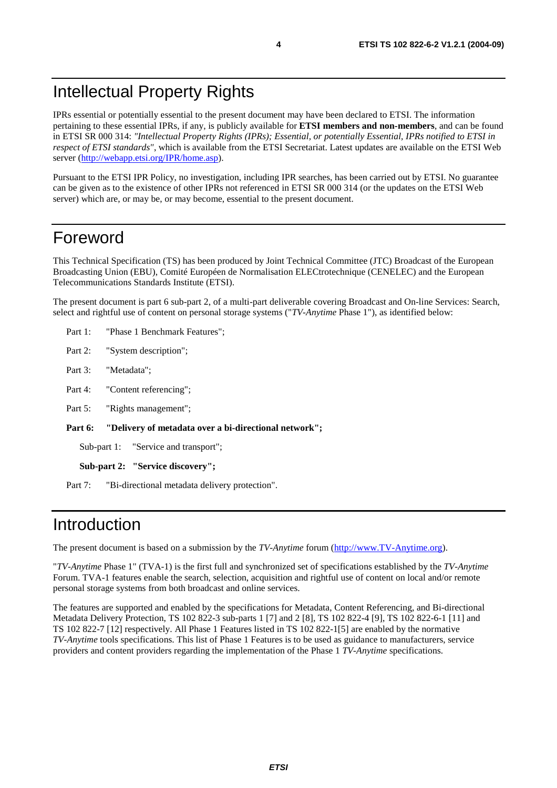### Intellectual Property Rights

IPRs essential or potentially essential to the present document may have been declared to ETSI. The information pertaining to these essential IPRs, if any, is publicly available for **ETSI members and non-members**, and can be found in ETSI SR 000 314: *"Intellectual Property Rights (IPRs); Essential, or potentially Essential, IPRs notified to ETSI in respect of ETSI standards"*, which is available from the ETSI Secretariat. Latest updates are available on the ETSI Web server (<http://webapp.etsi.org/IPR/home.asp>).

Pursuant to the ETSI IPR Policy, no investigation, including IPR searches, has been carried out by ETSI. No guarantee can be given as to the existence of other IPRs not referenced in ETSI SR 000 314 (or the updates on the ETSI Web server) which are, or may be, or may become, essential to the present document.

### Foreword

This Technical Specification (TS) has been produced by Joint Technical Committee (JTC) Broadcast of the European Broadcasting Union (EBU), Comité Européen de Normalisation ELECtrotechnique (CENELEC) and the European Telecommunications Standards Institute (ETSI).

The present document is part 6 sub-part 2, of a multi-part deliverable covering Broadcast and On-line Services: Search, select and rightful use of content on personal storage systems ("*TV-Anytime* Phase 1"), as identified below:

- Part 1: "Phase 1 Benchmark Features";
- Part 2: "System description";
- Part 3: "Metadata";
- Part 4: "Content referencing":
- Part 5: "Rights management":

**Part 6: "Delivery of metadata over a bi-directional network";** 

Sub-part 1: "Service and transport";

**Sub-part 2: "Service discovery";** 

Part 7: "Bi-directional metadata delivery protection".

### Introduction

The present document is based on a submission by the *TV-Anytime* forum ([http://www.TV-Anytime.org](http://www.tv-anytime.org/)).

"*TV-Anytime* Phase 1" (TVA-1) is the first full and synchronized set of specifications established by the *TV-Anytime* Forum. TVA-1 features enable the search, selection, acquisition and rightful use of content on local and/or remote personal storage systems from both broadcast and online services.

The features are supported and enabled by the specifications for Metadata, Content Referencing, and Bi-directional Metadata Delivery Protection, TS 102 822-3 sub-parts 1 [7] and 2 [8], TS 102 822-4 [9], TS 102 822-6-1 [11] and TS 102 822-7 [12] respectively. All Phase 1 Features listed in TS 102 822-1[5] are enabled by the normative *TV-Anytime* tools specifications. This list of Phase 1 Features is to be used as guidance to manufacturers, service providers and content providers regarding the implementation of the Phase 1 *TV-Anytime* specifications.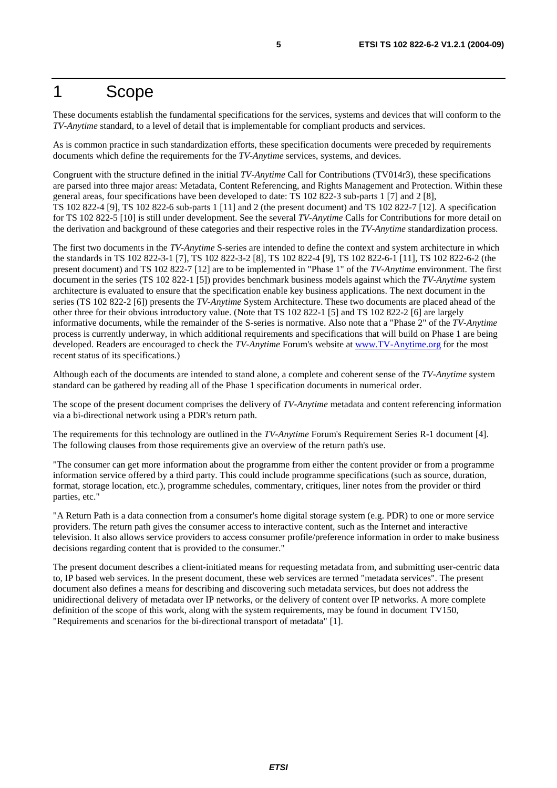### 1 Scope

These documents establish the fundamental specifications for the services, systems and devices that will conform to the *TV-Anytime* standard, to a level of detail that is implementable for compliant products and services.

As is common practice in such standardization efforts, these specification documents were preceded by requirements documents which define the requirements for the *TV-Anytime* services, systems, and devices.

Congruent with the structure defined in the initial *TV-Anytime* Call for Contributions (TV014r3), these specifications are parsed into three major areas: Metadata, Content Referencing, and Rights Management and Protection. Within these general areas, four specifications have been developed to date: TS 102 822-3 sub-parts 1 [7] and 2 [8], TS 102 822-4 [9], TS 102 822-6 sub-parts 1 [11] and 2 (the present document) and TS 102 822-7 [12]. A specification for TS 102 822-5 [10] is still under development. See the several *TV-Anytime* Calls for Contributions for more detail on the derivation and background of these categories and their respective roles in the *TV-Anytime* standardization process.

The first two documents in the *TV-Anytime* S-series are intended to define the context and system architecture in which the standards in TS 102 822-3-1 [7], TS 102 822-3-2 [8], TS 102 822-4 [9], TS 102 822-6-1 [11], TS 102 822-6-2 (the present document) and TS 102 822-7 [12] are to be implemented in "Phase 1" of the *TV-Anytime* environment. The first document in the series (TS 102 822-1 [5]) provides benchmark business models against which the *TV-Anytime* system architecture is evaluated to ensure that the specification enable key business applications. The next document in the series (TS 102 822-2 [6]) presents the *TV-Anytime* System Architecture. These two documents are placed ahead of the other three for their obvious introductory value. (Note that TS 102 822-1 [5] and TS 102 822-2 [6] are largely informative documents, while the remainder of the S-series is normative. Also note that a "Phase 2" of the *TV-Anytime* process is currently underway, in which additional requirements and specifications that will build on Phase 1 are being developed. Readers are encouraged to check the *TV-Anytime* Forum's website at [www.TV-Anytime.org](http://www.tv-anytime.org/) for the most recent status of its specifications.)

Although each of the documents are intended to stand alone, a complete and coherent sense of the *TV-Anytime* system standard can be gathered by reading all of the Phase 1 specification documents in numerical order.

The scope of the present document comprises the delivery of *TV-Anytime* metadata and content referencing information via a bi-directional network using a PDR's return path.

The requirements for this technology are outlined in the *TV-Anytime* Forum's Requirement Series R-1 document [4]. The following clauses from those requirements give an overview of the return path's use.

"The consumer can get more information about the programme from either the content provider or from a programme information service offered by a third party. This could include programme specifications (such as source, duration, format, storage location, etc.), programme schedules, commentary, critiques, liner notes from the provider or third parties, etc."

"A Return Path is a data connection from a consumer's home digital storage system (e.g. PDR) to one or more service providers. The return path gives the consumer access to interactive content, such as the Internet and interactive television. It also allows service providers to access consumer profile/preference information in order to make business decisions regarding content that is provided to the consumer."

The present document describes a client-initiated means for requesting metadata from, and submitting user-centric data to, IP based web services. In the present document, these web services are termed "metadata services". The present document also defines a means for describing and discovering such metadata services, but does not address the unidirectional delivery of metadata over IP networks, or the delivery of content over IP networks. A more complete definition of the scope of this work, along with the system requirements, may be found in document TV150, "Requirements and scenarios for the bi-directional transport of metadata" [1].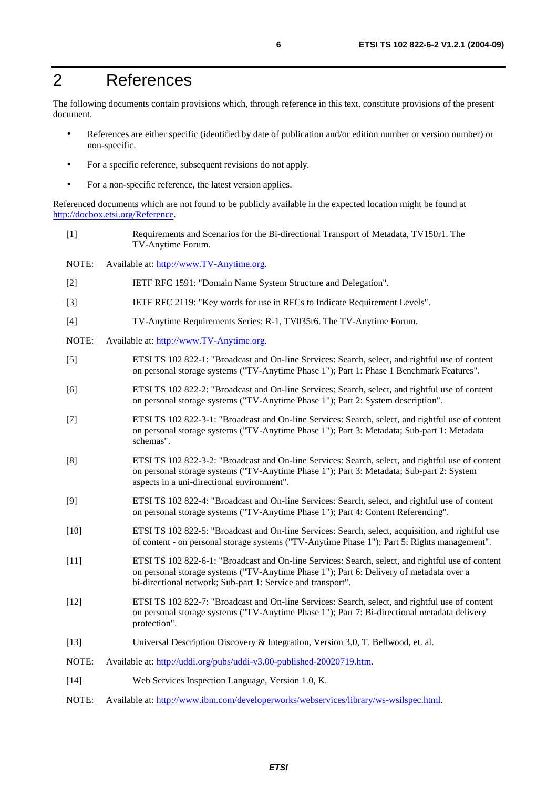### 2 References

The following documents contain provisions which, through reference in this text, constitute provisions of the present document.

- References are either specific (identified by date of publication and/or edition number or version number) or non-specific.
- For a specific reference, subsequent revisions do not apply.
- For a non-specific reference, the latest version applies.

Referenced documents which are not found to be publicly available in the expected location might be found at [http://docbox.etsi.org/Reference.](http://docbox.etsi.org/Reference)

[1] Requirements and Scenarios for the Bi-directional Transport of Metadata, TV150r1. The TV-Anytime Forum. NOTE: Available at: [http://www.TV-Anytime.org.](http://www.tv-anytime.org/) [2] IETF RFC 1591: "Domain Name System Structure and Delegation". [3] IETF RFC 2119: "Key words for use in RFCs to Indicate Requirement Levels". [4] TV-Anytime Requirements Series: R-1, TV035r6. The TV-Anytime Forum. NOTE: Available at: [http://www.TV-Anytime.org.](http://www.tv-anytime.org/) [5] ETSI TS 102 822-1: "Broadcast and On-line Services: Search, select, and rightful use of content on personal storage systems ("TV-Anytime Phase 1"); Part 1: Phase 1 Benchmark Features". [6] ETSI TS 102 822-2: "Broadcast and On-line Services: Search, select, and rightful use of content on personal storage systems ("TV-Anytime Phase 1"); Part 2: System description". [7] ETSI TS 102 822-3-1: "Broadcast and On-line Services: Search, select, and rightful use of content on personal storage systems ("TV-Anytime Phase 1"); Part 3: Metadata; Sub-part 1: Metadata schemas". [8] ETSI TS 102 822-3-2: "Broadcast and On-line Services: Search, select, and rightful use of content on personal storage systems ("TV-Anytime Phase 1"); Part 3: Metadata; Sub-part 2: System aspects in a uni-directional environment". [9] ETSI TS 102 822-4: "Broadcast and On-line Services: Search, select, and rightful use of content on personal storage systems ("TV-Anytime Phase 1"); Part 4: Content Referencing". [10] ETSI TS 102 822-5: "Broadcast and On-line Services: Search, select, acquisition, and rightful use of content - on personal storage systems ("TV-Anytime Phase 1"); Part 5: Rights management". [11] ETSI TS 102 822-6-1: "Broadcast and On-line Services: Search, select, and rightful use of content on personal storage systems ("TV-Anytime Phase 1"); Part 6: Delivery of metadata over a bi-directional network; Sub-part 1: Service and transport". [12] ETSI TS 102 822-7: "Broadcast and On-line Services: Search, select, and rightful use of content on personal storage systems ("TV-Anytime Phase 1"); Part 7: Bi-directional metadata delivery protection". [13] Universal Description Discovery & Integration, Version 3.0, T. Bellwood, et. al. NOTE: Available at:<http://uddi.org/pubs/uddi-v3.00-published-20020719.htm>. [14] Web Services Inspection Language, Version 1.0, K. NOTE: Available at: [http://www.ibm.com/developerworks/webservices/library/ws-wsilspec.html.](http://www.ibm.com/developerworks/webservices/library/ws-wsilspec.html)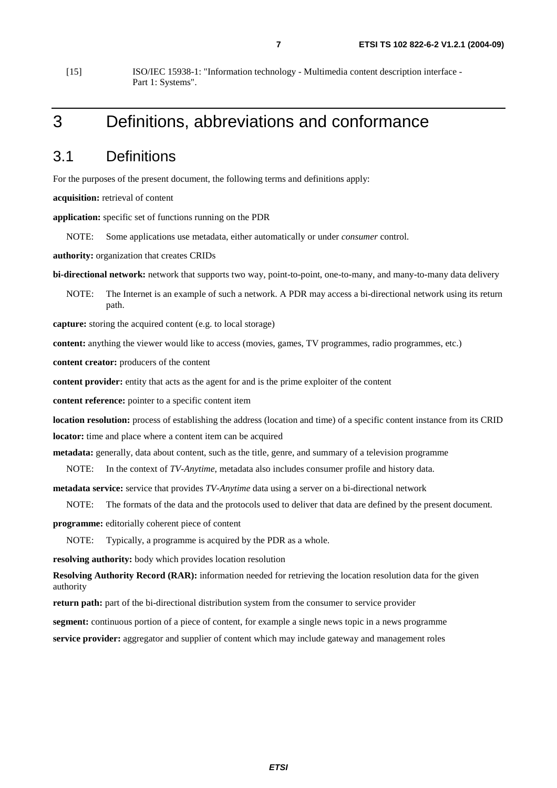[15] ISO/IEC 15938-1: "Information technology - Multimedia content description interface - Part 1: Systems".

### 3 Definitions, abbreviations and conformance

### 3.1 Definitions

For the purposes of the present document, the following terms and definitions apply:

**acquisition:** retrieval of content

**application:** specific set of functions running on the PDR

NOTE: Some applications use metadata, either automatically or under *consumer* control.

**authority:** organization that creates CRIDs

**bi-directional network:** network that supports two way, point-to-point, one-to-many, and many-to-many data delivery

NOTE: The Internet is an example of such a network. A PDR may access a bi-directional network using its return path.

**capture:** storing the acquired content (e.g. to local storage)

**content:** anything the viewer would like to access (movies, games, TV programmes, radio programmes, etc.)

**content creator:** producers of the content

**content provider:** entity that acts as the agent for and is the prime exploiter of the content

**content reference:** pointer to a specific content item

**location resolution:** process of establishing the address (location and time) of a specific content instance from its CRID **locator:** time and place where a content item can be acquired

**metadata:** generally, data about content, such as the title, genre, and summary of a television programme

NOTE: In the context of *TV-Anytime*, metadata also includes consumer profile and history data.

**metadata service:** service that provides *TV-Anytime* data using a server on a bi-directional network

NOTE: The formats of the data and the protocols used to deliver that data are defined by the present document.

**programme:** editorially coherent piece of content

NOTE: Typically, a programme is acquired by the PDR as a whole.

**resolving authority:** body which provides location resolution

**Resolving Authority Record (RAR):** information needed for retrieving the location resolution data for the given authority

**return path:** part of the bi-directional distribution system from the consumer to service provider

**segment:** continuous portion of a piece of content, for example a single news topic in a news programme

**service provider:** aggregator and supplier of content which may include gateway and management roles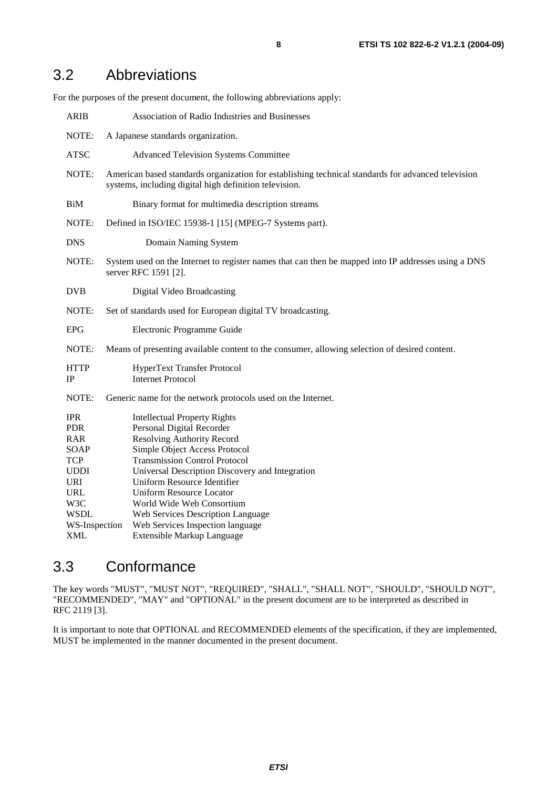### 3.2 Abbreviations

For the purposes of the present document, the following abbreviations apply:

| <b>ARIB</b>                                                                                                                   | Association of Radio Industries and Businesses                                                                                                                                                                                                                                                                                                                 |  |
|-------------------------------------------------------------------------------------------------------------------------------|----------------------------------------------------------------------------------------------------------------------------------------------------------------------------------------------------------------------------------------------------------------------------------------------------------------------------------------------------------------|--|
| NOTE:                                                                                                                         | A Japanese standards organization.                                                                                                                                                                                                                                                                                                                             |  |
| <b>ATSC</b>                                                                                                                   | <b>Advanced Television Systems Committee</b>                                                                                                                                                                                                                                                                                                                   |  |
| NOTE:                                                                                                                         | American based standards organization for establishing technical standards for advanced television<br>systems, including digital high definition television.                                                                                                                                                                                                   |  |
| BiM                                                                                                                           | Binary format for multimedia description streams                                                                                                                                                                                                                                                                                                               |  |
| NOTE:                                                                                                                         | Defined in ISO/IEC 15938-1 [15] (MPEG-7 Systems part).                                                                                                                                                                                                                                                                                                         |  |
| <b>DNS</b>                                                                                                                    | Domain Naming System                                                                                                                                                                                                                                                                                                                                           |  |
| NOTE:                                                                                                                         | System used on the Internet to register names that can then be mapped into IP addresses using a DNS<br>server RFC 1591 [2].                                                                                                                                                                                                                                    |  |
| <b>DVB</b>                                                                                                                    | Digital Video Broadcasting                                                                                                                                                                                                                                                                                                                                     |  |
| NOTE:                                                                                                                         | Set of standards used for European digital TV broadcasting.                                                                                                                                                                                                                                                                                                    |  |
| <b>EPG</b>                                                                                                                    | Electronic Programme Guide                                                                                                                                                                                                                                                                                                                                     |  |
| NOTE:                                                                                                                         | Means of presenting available content to the consumer, allowing selection of desired content.                                                                                                                                                                                                                                                                  |  |
| <b>HTTP</b><br>IP                                                                                                             | HyperText Transfer Protocol<br><b>Internet Protocol</b>                                                                                                                                                                                                                                                                                                        |  |
| NOTE:                                                                                                                         | Generic name for the network protocols used on the Internet.                                                                                                                                                                                                                                                                                                   |  |
| <b>IPR</b><br><b>PDR</b><br><b>RAR</b><br>SOAP<br><b>TCP</b><br><b>UDDI</b><br><b>URI</b><br><b>URL</b><br>W3C<br><b>WSDL</b> | <b>Intellectual Property Rights</b><br>Personal Digital Recorder<br>Resolving Authority Record<br>Simple Object Access Protocol<br><b>Transmission Control Protocol</b><br>Universal Description Discovery and Integration<br>Uniform Resource Identifier<br><b>Uniform Resource Locator</b><br>World Wide Web Consortium<br>Web Services Description Language |  |
| WS-Inspection                                                                                                                 | Web Services Inspection language                                                                                                                                                                                                                                                                                                                               |  |
| <b>XML</b>                                                                                                                    | <b>Extensible Markup Language</b>                                                                                                                                                                                                                                                                                                                              |  |

### 3.3 Conformance

The key words "MUST", "MUST NOT", "REQUIRED", "SHALL", "SHALL NOT", "SHOULD", "SHOULD NOT", "RECOMMENDED", "MAY" and "OPTIONAL" in the present document are to be interpreted as described in RFC 2119 [3].

It is important to note that OPTIONAL and RECOMMENDED elements of the specification, if they are implemented, MUST be implemented in the manner documented in the present document.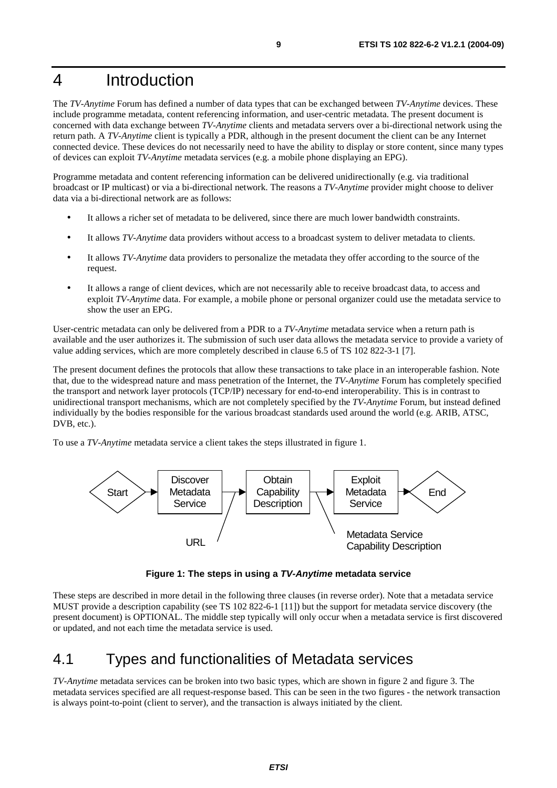### 4 Introduction

The *TV-Anytime* Forum has defined a number of data types that can be exchanged between *TV-Anytime* devices. These include programme metadata, content referencing information, and user-centric metadata. The present document is concerned with data exchange between *TV-Anytime* clients and metadata servers over a bi-directional network using the return path. A *TV-Anytime* client is typically a PDR, although in the present document the client can be any Internet connected device. These devices do not necessarily need to have the ability to display or store content, since many types of devices can exploit *TV-Anytime* metadata services (e.g. a mobile phone displaying an EPG).

Programme metadata and content referencing information can be delivered unidirectionally (e.g. via traditional broadcast or IP multicast) or via a bi-directional network. The reasons a *TV-Anytime* provider might choose to deliver data via a bi-directional network are as follows:

- It allows a richer set of metadata to be delivered, since there are much lower bandwidth constraints.
- It allows *TV-Anytime* data providers without access to a broadcast system to deliver metadata to clients.
- It allows *TV-Anytime* data providers to personalize the metadata they offer according to the source of the request.
- It allows a range of client devices, which are not necessarily able to receive broadcast data, to access and exploit *TV-Anytime* data. For example, a mobile phone or personal organizer could use the metadata service to show the user an EPG.

User-centric metadata can only be delivered from a PDR to a *TV-Anytime* metadata service when a return path is available and the user authorizes it. The submission of such user data allows the metadata service to provide a variety of value adding services, which are more completely described in clause 6.5 of TS 102 822-3-1 [7].

The present document defines the protocols that allow these transactions to take place in an interoperable fashion. Note that, due to the widespread nature and mass penetration of the Internet, the *TV-Anytime* Forum has completely specified the transport and network layer protocols (TCP/IP) necessary for end-to-end interoperability. This is in contrast to unidirectional transport mechanisms, which are not completely specified by the *TV-Anytime* Forum, but instead defined individually by the bodies responsible for the various broadcast standards used around the world (e.g. ARIB, ATSC, DVB, etc.).

To use a *TV-Anytime* metadata service a client takes the steps illustrated in figure 1.



**Figure 1: The steps in using a TV-Anytime metadata service** 

These steps are described in more detail in the following three clauses (in reverse order). Note that a metadata service MUST provide a description capability (see TS 102 822-6-1 [11]) but the support for metadata service discovery (the present document) is OPTIONAL. The middle step typically will only occur when a metadata service is first discovered or updated, and not each time the metadata service is used.

### 4.1 Types and functionalities of Metadata services

*TV-Anytime* metadata services can be broken into two basic types, which are shown in figure 2 and figure 3. The metadata services specified are all request-response based. This can be seen in the two figures - the network transaction is always point-to-point (client to server), and the transaction is always initiated by the client.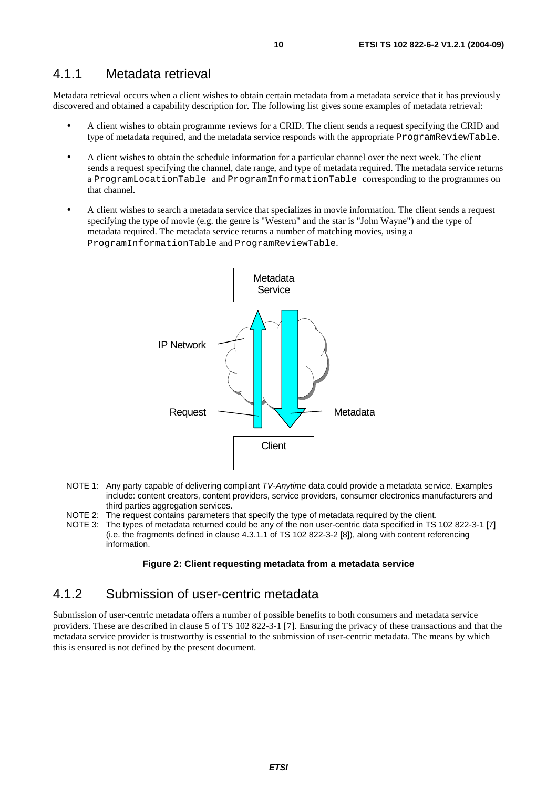#### 4.1.1 Metadata retrieval

Metadata retrieval occurs when a client wishes to obtain certain metadata from a metadata service that it has previously discovered and obtained a capability description for. The following list gives some examples of metadata retrieval:

- A client wishes to obtain programme reviews for a CRID. The client sends a request specifying the CRID and type of metadata required, and the metadata service responds with the appropriate ProgramReviewTable.
- A client wishes to obtain the schedule information for a particular channel over the next week. The client sends a request specifying the channel, date range, and type of metadata required. The metadata service returns a ProgramLocationTable and ProgramInformationTable corresponding to the programmes on that channel.
- A client wishes to search a metadata service that specializes in movie information. The client sends a request specifying the type of movie (e.g. the genre is "Western" and the star is "John Wayne") and the type of metadata required. The metadata service returns a number of matching movies, using a ProgramInformationTable and ProgramReviewTable.



- NOTE 1: Any party capable of delivering compliant TV-Anytime data could provide a metadata service. Examples include: content creators, content providers, service providers, consumer electronics manufacturers and third parties aggregation services.
- NOTE 2: The request contains parameters that specify the type of metadata required by the client.
- NOTE 3: The types of metadata returned could be any of the non user-centric data specified in TS 102 822-3-1 [7] (i.e. the fragments defined in clause 4.3.1.1 of TS 102 822-3-2 [8]), along with content referencing information.

#### **Figure 2: Client requesting metadata from a metadata service**

### 4.1.2 Submission of user-centric metadata

Submission of user-centric metadata offers a number of possible benefits to both consumers and metadata service providers. These are described in clause 5 of TS 102 822-3-1 [7]. Ensuring the privacy of these transactions and that the metadata service provider is trustworthy is essential to the submission of user-centric metadata. The means by which this is ensured is not defined by the present document.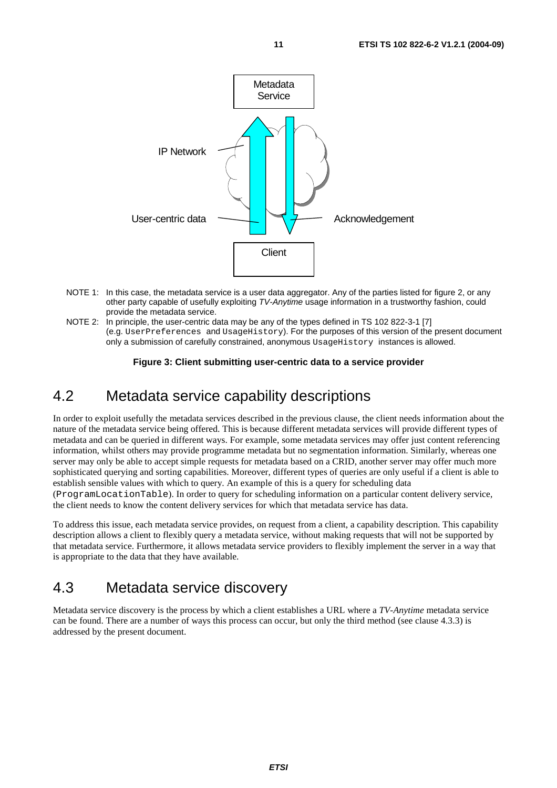

- NOTE 1: In this case, the metadata service is a user data aggregator. Any of the parties listed for figure 2, or any other party capable of usefully exploiting TV-Anytime usage information in a trustworthy fashion, could provide the metadata service.
- NOTE 2: In principle, the user-centric data may be any of the types defined in TS 102 822-3-1 [7] (e.g. UserPreferences and UsageHistory). For the purposes of this version of the present document only a submission of carefully constrained, anonymous UsageHistory instances is allowed.

#### **Figure 3: Client submitting user-centric data to a service provider**

### 4.2 Metadata service capability descriptions

In order to exploit usefully the metadata services described in the previous clause, the client needs information about the nature of the metadata service being offered. This is because different metadata services will provide different types of metadata and can be queried in different ways. For example, some metadata services may offer just content referencing information, whilst others may provide programme metadata but no segmentation information. Similarly, whereas one server may only be able to accept simple requests for metadata based on a CRID, another server may offer much more sophisticated querying and sorting capabilities. Moreover, different types of queries are only useful if a client is able to establish sensible values with which to query. An example of this is a query for scheduling data (ProgramLocationTable). In order to query for scheduling information on a particular content delivery service, the client needs to know the content delivery services for which that metadata service has data.

To address this issue, each metadata service provides, on request from a client, a capability description. This capability description allows a client to flexibly query a metadata service, without making requests that will not be supported by that metadata service. Furthermore, it allows metadata service providers to flexibly implement the server in a way that is appropriate to the data that they have available.

### 4.3 Metadata service discovery

Metadata service discovery is the process by which a client establishes a URL where a *TV-Anytime* metadata service can be found. There are a number of ways this process can occur, but only the third method (see clause 4.3.3) is addressed by the present document.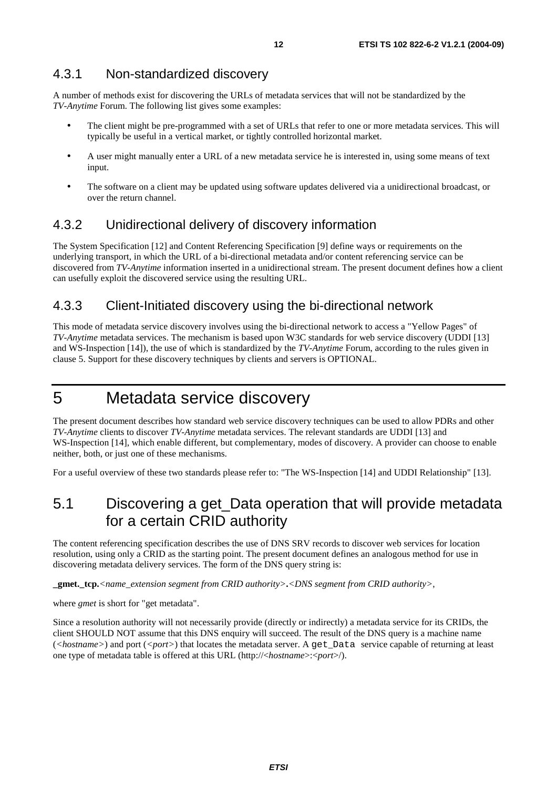#### 4.3.1 Non-standardized discovery

A number of methods exist for discovering the URLs of metadata services that will not be standardized by the *TV-Anytime* Forum. The following list gives some examples:

- The client might be pre-programmed with a set of URLs that refer to one or more metadata services. This will typically be useful in a vertical market, or tightly controlled horizontal market.
- A user might manually enter a URL of a new metadata service he is interested in, using some means of text input.
- The software on a client may be updated using software updates delivered via a unidirectional broadcast, or over the return channel.

#### 4.3.2 Unidirectional delivery of discovery information

The System Specification [12] and Content Referencing Specification [9] define ways or requirements on the underlying transport, in which the URL of a bi-directional metadata and/or content referencing service can be discovered from *TV-Anytime* information inserted in a unidirectional stream. The present document defines how a client can usefully exploit the discovered service using the resulting URL.

#### 4.3.3 Client-Initiated discovery using the bi-directional network

This mode of metadata service discovery involves using the bi-directional network to access a "Yellow Pages" of *TV-Anytime* metadata services. The mechanism is based upon W3C standards for web service discovery (UDDI [13] and WS-Inspection [14]), the use of which is standardized by the *TV-Anytime* Forum, according to the rules given in clause 5. Support for these discovery techniques by clients and servers is OPTIONAL.

### 5 Metadata service discovery

The present document describes how standard web service discovery techniques can be used to allow PDRs and other *TV-Anytime* clients to discover *TV-Anytime* metadata services. The relevant standards are UDDI [13] and WS-Inspection [14], which enable different, but complementary, modes of discovery. A provider can choose to enable neither, both, or just one of these mechanisms.

For a useful overview of these two standards please refer to: "The WS-Inspection [14] and UDDI Relationship" [13].

### 5.1 Discovering a get\_Data operation that will provide metadata for a certain CRID authority

The content referencing specification describes the use of DNS SRV records to discover web services for location resolution, using only a CRID as the starting point. The present document defines an analogous method for use in discovering metadata delivery services. The form of the DNS query string is:

**\_gmet.\_tcp.***<name\_extension segment from CRID authority>***.***<DNS segment from CRID authority>*,

where *gmet* is short for "get metadata".

Since a resolution authority will not necessarily provide (directly or indirectly) a metadata service for its CRIDs, the client SHOULD NOT assume that this DNS enquiry will succeed. The result of the DNS query is a machine name (*<hostname>*) and port (*<port>*) that locates the metadata server. A get*\_*Data service capable of returning at least one type of metadata table is offered at this URL (http://<*hostname*>:<*port*>/).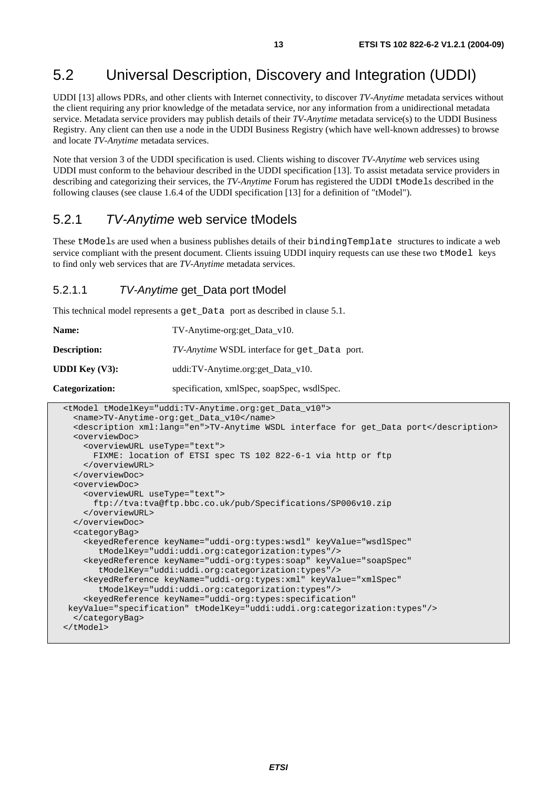### 5.2 Universal Description, Discovery and Integration (UDDI)

UDDI [13] allows PDRs, and other clients with Internet connectivity, to discover *TV-Anytime* metadata services without the client requiring any prior knowledge of the metadata service, nor any information from a unidirectional metadata service. Metadata service providers may publish details of their *TV-Anytime* metadata service(s) to the UDDI Business Registry. Any client can then use a node in the UDDI Business Registry (which have well-known addresses) to browse and locate *TV-Anytime* metadata services.

Note that version 3 of the UDDI specification is used. Clients wishing to discover *TV-Anytime* web services using UDDI must conform to the behaviour described in the UDDI specification [13]. To assist metadata service providers in describing and categorizing their services, the *TV-Anytime* Forum has registered the UDDI tModels described in the following clauses (see clause 1.6.4 of the UDDI specification [13] for a definition of "tModel").

### 5.2.1 TV-Anytime web service tModels

These tModels are used when a business publishes details of their bindingTemplate structures to indicate a web service compliant with the present document. Clients issuing UDDI inquiry requests can use these two tModel keys to find only web services that are *TV-Anytime* metadata services.

#### 5.2.1.1 TV-Anytime get\_Data port tModel

This technical model represents a get\_Data port as described in clause 5.1.

| Name:                    | TV-Anytime-org:get_Data_v10.                 |
|--------------------------|----------------------------------------------|
| <b>Description:</b>      | TV-Anytime WSDL interface for get_Data port. |
| <b>UDDI</b> Key $(V3)$ : | uddi:TV-Anytime.org:get_Data_v10.            |
| Categorization:          | specification, xmlSpec, soapSpec, wsdlSpec.  |

```
 <tModel tModelKey="uddi:TV-Anytime.org:get_Data_v10"> 
   <name>TV-Anytime-org:get_Data_v10</name> 
   <description xml:lang="en">TV-Anytime WSDL interface for get_Data port</description> 
   <overviewDoc> 
     <overviewURL useType="text"> 
      FIXME: location of ETSI spec TS 102 822-6-1 via http or ftp
     </overviewURL> 
   </overviewDoc> 
   <overviewDoc> 
     <overviewURL useType="text"> 
       ftp://tva:tva@ftp.bbc.co.uk/pub/Specifications/SP006v10.zip 
     </overviewURL> 
   </overviewDoc> 
   <categoryBag> 
     <keyedReference keyName="uddi-org:types:wsdl" keyValue="wsdlSpec" 
        tModelKey="uddi:uddi.org:categorization:types"/> 
     <keyedReference keyName="uddi-org:types:soap" keyValue="soapSpec" 
        tModelKey="uddi:uddi.org:categorization:types"/> 
     <keyedReference keyName="uddi-org:types:xml" keyValue="xmlSpec" 
        tModelKey="uddi:uddi.org:categorization:types"/> 
     <keyedReference keyName="uddi-org:types:specification" 
 keyValue="specification" tModelKey="uddi:uddi.org:categorization:types"/> 
   </categoryBag> 
 </tModel>
```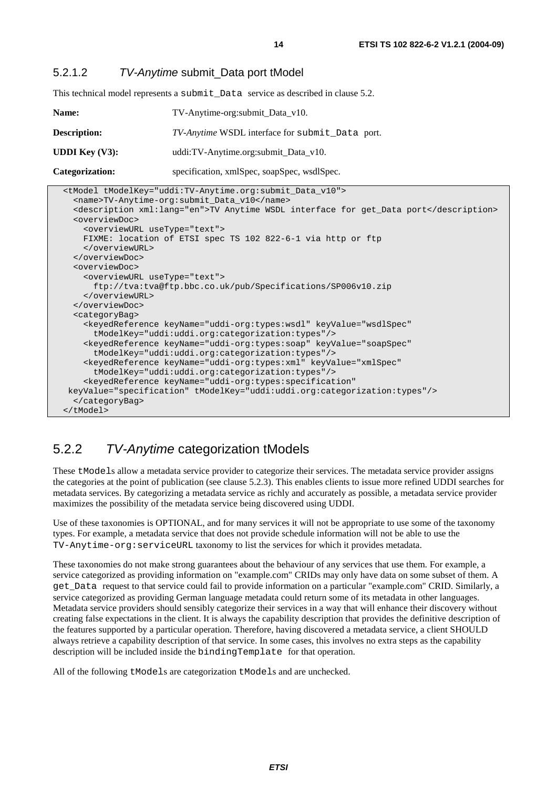#### 5.2.1.2 TV-Anytime submit\_Data port tModel

This technical model represents a submit\_Data service as described in clause 5.2.

| <b>Name:</b>           | TV-Anytime-org: submit_Data_v10.                |
|------------------------|-------------------------------------------------|
| <b>Description:</b>    | TV-Anytime WSDL interface for submit_Data port. |
| <b>UDDI Key (V3):</b>  | uddi:TV-Anytime.org:submit_Data_v10.            |
| <b>Categorization:</b> | specification, xmlSpec, soapSpec, wsdlSpec.     |

| <tmodel tmodelkey="uddi:TV-Anytime.org:submit_Data_v10"></tmodel>                              |
|------------------------------------------------------------------------------------------------|
| <name>TV-Anytime-org:submit_Data_v10</name>                                                    |
| <description xml:lang="en">TV Anytime WSDL interface for get_Data port</description>           |
| <overviewdoc></overviewdoc>                                                                    |
| <overviewurl usetype="text"></overviewurl>                                                     |
| FIXME: location of ETSI spec TS 102 822-6-1 via http or ftp                                    |
|                                                                                                |
|                                                                                                |
| <overviewdoc></overviewdoc>                                                                    |
| <overviewurl usetype="text"></overviewurl>                                                     |
| ftp://tva:tva@ftp.bbc.co.uk/pub/Specifications/SP006v10.zip                                    |
|                                                                                                |
|                                                                                                |
| <categorybag></categorybag>                                                                    |
| <keyedreference <="" keyname="uddi-org:types:wsdl" keyvalue="wsdlSpec" td=""></keyedreference> |
| tModelKey="uddi:uddi.org:categorization:types"/>                                               |
| <keyedreference <="" keyname="uddi-org:types:soap" keyvalue="soapSpec" td=""></keyedreference> |
| tModelKey="uddi:uddi.org:categorization:types"/>                                               |
| <keyedreference <="" keyname="uddi-org:types:xml" keyvalue="xmlSpec" td=""></keyedreference>   |
| tModelKey="uddi:uddi.org:categorization:types"/>                                               |
| <keyedreference <="" keyname="uddi-org:types:specification" td=""></keyedreference>            |
| keyValue="specification" tModelKey="uddi:uddi.org:categorization:types"/>                      |
|                                                                                                |
|                                                                                                |

### 5.2.2 TV-Anytime categorization tModels

These tModels allow a metadata service provider to categorize their services. The metadata service provider assigns the categories at the point of publication (see clause 5.2.3). This enables clients to issue more refined UDDI searches for metadata services. By categorizing a metadata service as richly and accurately as possible, a metadata service provider maximizes the possibility of the metadata service being discovered using UDDI.

Use of these taxonomies is OPTIONAL, and for many services it will not be appropriate to use some of the taxonomy types. For example, a metadata service that does not provide schedule information will not be able to use the TV-Anytime-org:serviceURL taxonomy to list the services for which it provides metadata.

These taxonomies do not make strong guarantees about the behaviour of any services that use them. For example, a service categorized as providing information on "example.com" CRIDs may only have data on some subset of them. A get*\_*Data request to that service could fail to provide information on a particular "example.com" CRID. Similarly, a service categorized as providing German language metadata could return some of its metadata in other languages. Metadata service providers should sensibly categorize their services in a way that will enhance their discovery without creating false expectations in the client. It is always the capability description that provides the definitive description of the features supported by a particular operation. Therefore, having discovered a metadata service, a client SHOULD always retrieve a capability description of that service. In some cases, this involves no extra steps as the capability description will be included inside the bindingTemplate for that operation.

All of the following tModels are categorization tModels and are unchecked.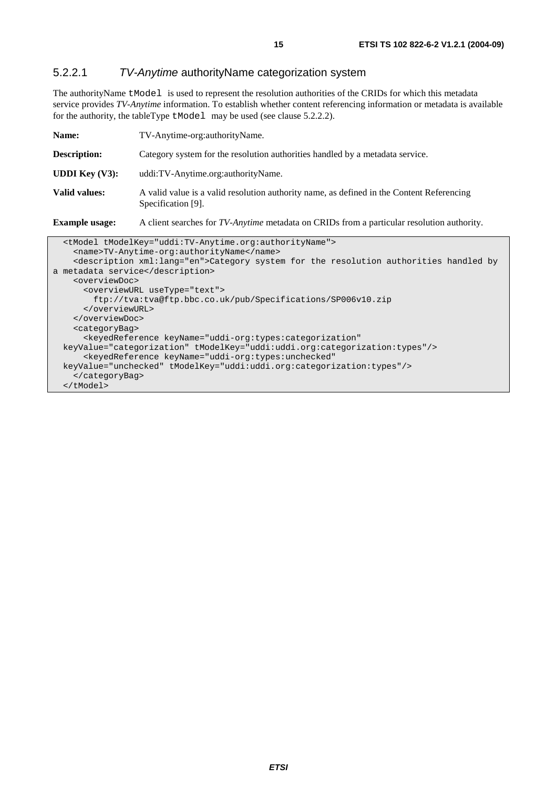#### 5.2.2.1 TV-Anytime authorityName categorization system

The authorityName tModel is used to represent the resolution authorities of the CRIDs for which this metadata service provides *TV-Anytime* information. To establish whether content referencing information or metadata is available for the authority, the tableType tModel may be used (see clause 5.2.2.2).

| Name:                    | TV-Anytime-org:authorityName.                                                                                   |
|--------------------------|-----------------------------------------------------------------------------------------------------------------|
| <b>Description:</b>      | Category system for the resolution authorities handled by a metadata service.                                   |
| <b>UDDI</b> Key $(V3)$ : | uddi:TV-Anytime.org:authorityName.                                                                              |
| <b>Valid values:</b>     | A valid value is a valid resolution authority name, as defined in the Content Referencing<br>Specification [9]. |
| <b>Example usage:</b>    | A client searches for <i>TV-Anytime</i> metadata on CRIDs from a particular resolution authority.               |
|                          | <tmodel tmodelkey="uddi:TV-Anytime.org:authorityName"></tmodel>                                                 |

| CLMOUEL LMOUEINEY="UUUI.IV-AIIYLIME.OIY.dULIIOIILYNdME">                                           |
|----------------------------------------------------------------------------------------------------|
| <name>TV-Anytime-org:authorityName</name>                                                          |
| <description xml:lang="en">Category system for the resolution authorities handled by</description> |
| a metadata service                                                                                 |
| <overviewdoc></overviewdoc>                                                                        |
| <overviewurl usetype="text"></overviewurl>                                                         |
| ftp://tva:tva@ftp.bbc.co.uk/pub/Specifications/SP006v10.zip                                        |
|                                                                                                    |
|                                                                                                    |
| <categorybag></categorybag>                                                                        |
| <keyedreference <="" keyname="uddi-org:types:categorization" td=""></keyedreference>               |
| keyValue="categorization" tModelKey="uddi:uddi.org:categorization:types"/>                         |
| <keyedreference <="" keyname="uddi-org:types:unchecked" td=""></keyedreference>                    |
| keyValue="unchecked" tModelKey="uddi:uddi.org:categorization:types"/>                              |
|                                                                                                    |
|                                                                                                    |
|                                                                                                    |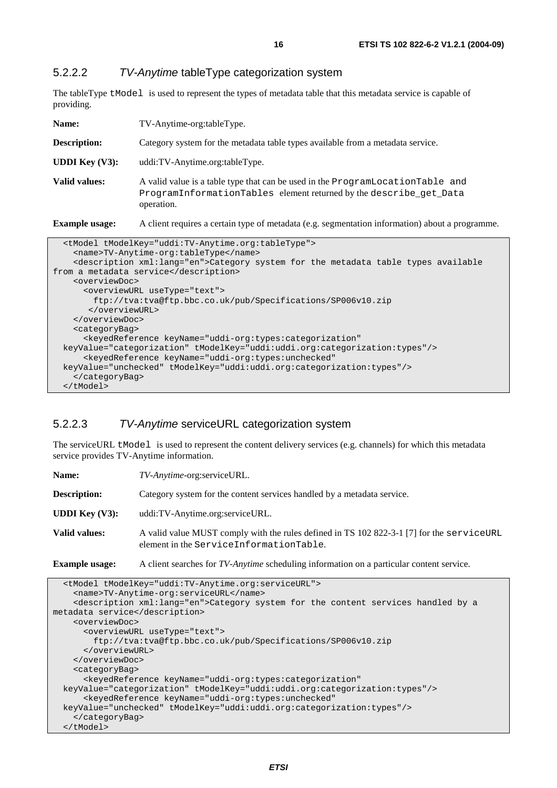#### 5.2.2.2 TV-Anytime tableType categorization system

The tableType tModel is used to represent the types of metadata table that this metadata service is capable of providing.

| Name:                    | TV-Anytime-org:tableType.                                                                                                                                          |
|--------------------------|--------------------------------------------------------------------------------------------------------------------------------------------------------------------|
| <b>Description:</b>      | Category system for the metadata table types available from a metadata service.                                                                                    |
| <b>UDDI</b> Key $(V3)$ : | uddi:TV-Anytime.org:tableType.                                                                                                                                     |
| Valid values:            | A valid value is a table type that can be used in the ProgramLocationTable and<br>ProgramInformationTables element returned by the describe_get_Data<br>operation. |
| <b>Example usage:</b>    | A client requires a certain type of metadata (e.g. segmentation information) about a programme.                                                                    |

| <tmodel tmodelkey="uddi:TV-Anytime.org:tableType"></tmodel>                                     |  |
|-------------------------------------------------------------------------------------------------|--|
| <name>TV-Anytime-org:tableType</name>                                                           |  |
| <description xml:lang="en">Category system for the metadata table types available</description> |  |
| from a metadata service                                                                         |  |
| <overviewdoc></overviewdoc>                                                                     |  |
| <overviewurl usetype="text"></overviewurl>                                                      |  |
| ftp://tva:tva@ftp.bbc.co.uk/pub/Specifications/SP006v10.zip                                     |  |
|                                                                                                 |  |
|                                                                                                 |  |
| <categorybag></categorybag>                                                                     |  |
| <keyedreference <="" keyname="uddi-org:types:categorization" td=""></keyedreference>            |  |
| keyValue="categorization" tModelKey="uddi:uddi.org:categorization:types"/>                      |  |
| <keyedreference <="" keyname="uddi-org:types:unchecked" td=""></keyedreference>                 |  |
| keyValue="unchecked" tModelKey="uddi:uddi.org:categorization:types"/>                           |  |
|                                                                                                 |  |
| $\langle$ /tModel>                                                                              |  |

#### 5.2.2.3 TV-Anytime serviceURL categorization system

The serviceURL tModel is used to represent the content delivery services (e.g. channels) for which this metadata service provides TV-Anytime information.

| Name:                    | <i>TV-Anytime-org:serviceURL.</i>                                                                                                    |
|--------------------------|--------------------------------------------------------------------------------------------------------------------------------------|
| <b>Description:</b>      | Category system for the content services handled by a metadata service.                                                              |
| <b>UDDI</b> Key $(V3)$ : | uddi:TV-Anytime.org:serviceURL.                                                                                                      |
| Valid values:            | A valid value MUST comply with the rules defined in TS 102 822-3-1 [7] for the serviceURL<br>element in the ServiceInformationTable. |
| <b>Example usage:</b>    | A client searches for TV-Anytime scheduling information on a particular content service.                                             |

```
 <tModel tModelKey="uddi:TV-Anytime.org:serviceURL"> 
     <name>TV-Anytime-org:serviceURL</name> 
     <description xml:lang="en">Category system for the content services handled by a 
metadata service</description> 
     <overviewDoc> 
       <overviewURL useType="text"> 
         ftp://tva:tva@ftp.bbc.co.uk/pub/Specifications/SP006v10.zip 
       </overviewURL> 
     </overviewDoc> 
     <categoryBag> 
       <keyedReference keyName="uddi-org:types:categorization" 
   keyValue="categorization" tModelKey="uddi:uddi.org:categorization:types"/> 
       <keyedReference keyName="uddi-org:types:unchecked" 
   keyValue="unchecked" tModelKey="uddi:uddi.org:categorization:types"/> 
     </categoryBag> 
   </tModel>
```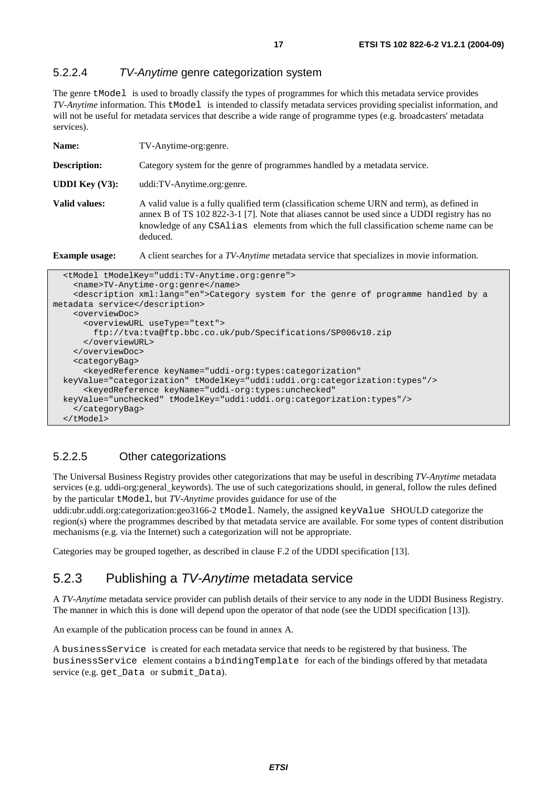#### 5.2.2.4 TV-Anytime genre categorization system

The genre tModel is used to broadly classify the types of programmes for which this metadata service provides *TV-Anytime* information. This tModel is intended to classify metadata services providing specialist information, and will not be useful for metadata services that describe a wide range of programme types (e.g. broadcasters' metadata services).

| TV-Anytime-org:genre.                                                                                                                                                                                                                                                                                                                                                                                                                                                                                                                                                                                                                                                                                                                                               |  |
|---------------------------------------------------------------------------------------------------------------------------------------------------------------------------------------------------------------------------------------------------------------------------------------------------------------------------------------------------------------------------------------------------------------------------------------------------------------------------------------------------------------------------------------------------------------------------------------------------------------------------------------------------------------------------------------------------------------------------------------------------------------------|--|
| Category system for the genre of programmes handled by a metadata service.                                                                                                                                                                                                                                                                                                                                                                                                                                                                                                                                                                                                                                                                                          |  |
| uddi:TV-Anytime.org:genre.                                                                                                                                                                                                                                                                                                                                                                                                                                                                                                                                                                                                                                                                                                                                          |  |
| A valid value is a fully qualified term (classification scheme URN and term), as defined in<br>annex B of TS 102 822-3-1 [7]. Note that aliases cannot be used since a UDDI registry has no<br>knowledge of any CSA1ias elements from which the full classification scheme name can be<br>deduced.                                                                                                                                                                                                                                                                                                                                                                                                                                                                  |  |
| A client searches for a TV-Anytime metadata service that specializes in movie information.                                                                                                                                                                                                                                                                                                                                                                                                                                                                                                                                                                                                                                                                          |  |
| <b>Example usage:</b><br><tmodel tmodelkey="uddi:TV-Anytime.org:genre"><br/><name>TV-Anytime-org:genre</name><br/><description xml:lang="en">Category system for the genre of programme handled by a<br/>metadata service</description><br/><overviewdoc><br/><overviewurl usetype="text"><br/>ftp://tva:tva@ftp.bbc.co.uk/pub/Specifications/SP006v10.zip<br/></overviewurl><br/></overviewdoc><br/><categorybag><br/><keyedreference <br="" keyname="uddi-org:types:categorization">keyValue="categorization" tModelKey="uddi:uddi.org:categorization:types"/&gt;<br/><keyedreference <br="" keyname="uddi-org:types:unchecked">keyValue="unchecked" tModelKey="uddi:uddi.org:categorization:types"/&gt;</keyedreference></keyedreference></categorybag></tmodel> |  |
|                                                                                                                                                                                                                                                                                                                                                                                                                                                                                                                                                                                                                                                                                                                                                                     |  |

#### 5.2.2.5 Other categorizations

The Universal Business Registry provides other categorizations that may be useful in describing *TV-Anytime* metadata services (e.g. uddi-org:general\_keywords). The use of such categorizations should, in general, follow the rules defined by the particular tModel, but *TV-Anytime* provides guidance for use of the

uddi:ubr.uddi.org:categorization:geo3166-2 tModel. Namely, the assigned keyValue SHOULD categorize the region(s) where the programmes described by that metadata service are available. For some types of content distribution mechanisms (e.g. via the Internet) such a categorization will not be appropriate.

Categories may be grouped together, as described in clause F.2 of the UDDI specification [13].

#### 5.2.3 Publishing a TV-Anytime metadata service

A *TV-Anytime* metadata service provider can publish details of their service to any node in the UDDI Business Registry. The manner in which this is done will depend upon the operator of that node (see the UDDI specification [13]).

An example of the publication process can be found in annex A.

A businessService is created for each metadata service that needs to be registered by that business. The businessService element contains a bindingTemplate for each of the bindings offered by that metadata service (e.g. get Data or submit Data).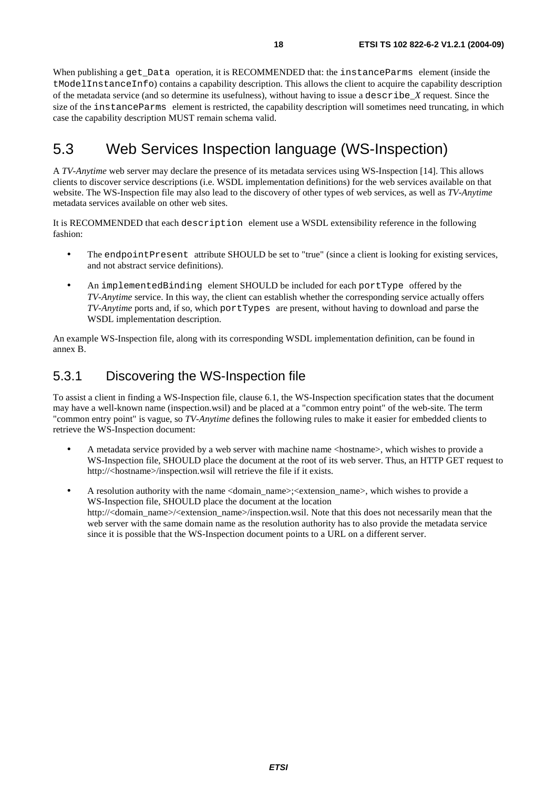When publishing a get\_Data operation, it is RECOMMENDED that: the instanceParms element (inside the tModelInstanceInfo) contains a capability description. This allows the client to acquire the capability description of the metadata service (and so determine its usefulness), without having to issue a describe\_*X* request. Since the size of the instanceParms element is restricted, the capability description will sometimes need truncating, in which case the capability description MUST remain schema valid.

### 5.3 Web Services Inspection language (WS-Inspection)

A *TV-Anytime* web server may declare the presence of its metadata services using WS-Inspection [14]. This allows clients to discover service descriptions (i.e. WSDL implementation definitions) for the web services available on that website. The WS-Inspection file may also lead to the discovery of other types of web services, as well as *TV-Anytime* metadata services available on other web sites.

It is RECOMMENDED that each description element use a WSDL extensibility reference in the following fashion:

- The endpointPresent attribute SHOULD be set to "true" (since a client is looking for existing services, and not abstract service definitions).
- An implementedBinding element SHOULD be included for each portType offered by the *TV-Anytime* service. In this way, the client can establish whether the corresponding service actually offers *TV-Anytime* ports and, if so, which portTypes are present, without having to download and parse the WSDL implementation description.

An example WS-Inspection file, along with its corresponding WSDL implementation definition, can be found in annex B.

### 5.3.1 Discovering the WS-Inspection file

To assist a client in finding a WS-Inspection file, clause 6.1, the WS-Inspection specification states that the document may have a well-known name (inspection.wsil) and be placed at a "common entry point" of the web-site. The term "common entry point" is vague, so *TV-Anytime* defines the following rules to make it easier for embedded clients to retrieve the WS-Inspection document:

- A metadata service provided by a web server with machine name <hostname>, which wishes to provide a WS-Inspection file, SHOULD place the document at the root of its web server. Thus, an HTTP GET request to http://<hostname>/inspection.wsil will retrieve the file if it exists.
- A resolution authority with the name <domain\_name>;<extension\_name>, which wishes to provide a WS-Inspection file, SHOULD place the document at the location http://<domain\_name>/<extension\_name>/inspection.wsil. Note that this does not necessarily mean that the web server with the same domain name as the resolution authority has to also provide the metadata service since it is possible that the WS-Inspection document points to a URL on a different server.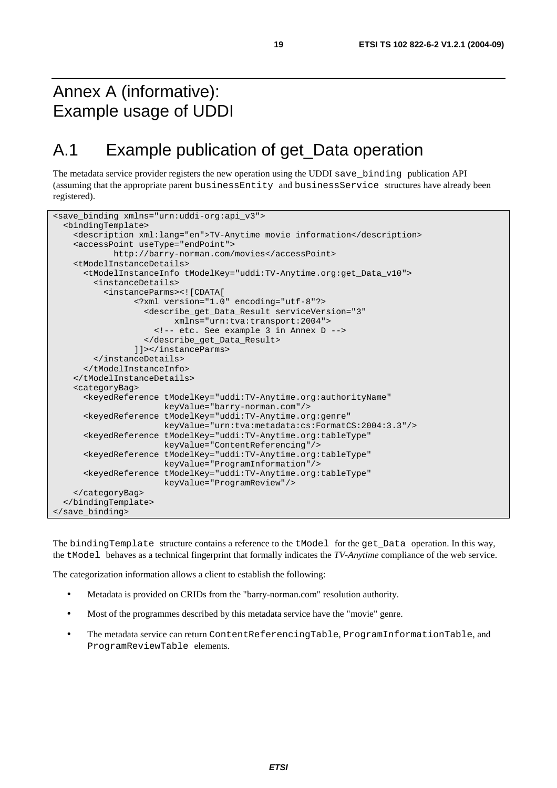### Annex A (informative): Example usage of UDDI

### A.1 Example publication of get\_Data operation

The metadata service provider registers the new operation using the UDDI save\_binding publication API (assuming that the appropriate parent businessEntity and businessService structures have already been registered).

```
<save_binding xmlns="urn:uddi-org:api_v3"> 
   <bindingTemplate> 
     <description xml:lang="en">TV-Anytime movie information</description> 
     <accessPoint useType="endPoint"> 
             http://barry-norman.com/movies</accessPoint> 
     <tModelInstanceDetails> 
       <tModelInstanceInfo tModelKey="uddi:TV-Anytime.org:get_Data_v10"> 
         <instanceDetails> 
           <instanceParms><![CDATA[ 
                  <?xml version="1.0" encoding="utf-8"?> 
                    <describe_get_Data_Result serviceVersion="3" 
                          xmlns="urn:tva:transport:2004"> 
                      <!-- etc. See example 3 in Annex D --> 
                    </describe_get_Data_Result> 
                  ]]></instanceParms> 
         </instanceDetails> 
       </tModelInstanceInfo> 
     </tModelInstanceDetails> 
     <categoryBag> 
       <keyedReference tModelKey="uddi:TV-Anytime.org:authorityName" 
                        keyValue="barry-norman.com"/> 
       <keyedReference tModelKey="uddi:TV-Anytime.org:genre" 
                        keyValue="urn:tva:metadata:cs:FormatCS:2004:3.3"/> 
       <keyedReference tModelKey="uddi:TV-Anytime.org:tableType" 
                        keyValue="ContentReferencing"/> 
       <keyedReference tModelKey="uddi:TV-Anytime.org:tableType" 
                        keyValue="ProgramInformation"/> 
       <keyedReference tModelKey="uddi:TV-Anytime.org:tableType" 
                        keyValue="ProgramReview"/> 
     </categoryBag> 
   </bindingTemplate> 
</save_binding>
```
The bindingTemplate structure contains a reference to the tModel for the get\_Data operation. In this way, the tModel behaves as a technical fingerprint that formally indicates the *TV-Anytime* compliance of the web service.

The categorization information allows a client to establish the following:

- Metadata is provided on CRIDs from the "barry-norman.com" resolution authority.
- Most of the programmes described by this metadata service have the "movie" genre.
- The metadata service can return ContentReferencingTable, ProgramInformationTable, and ProgramReviewTable elements.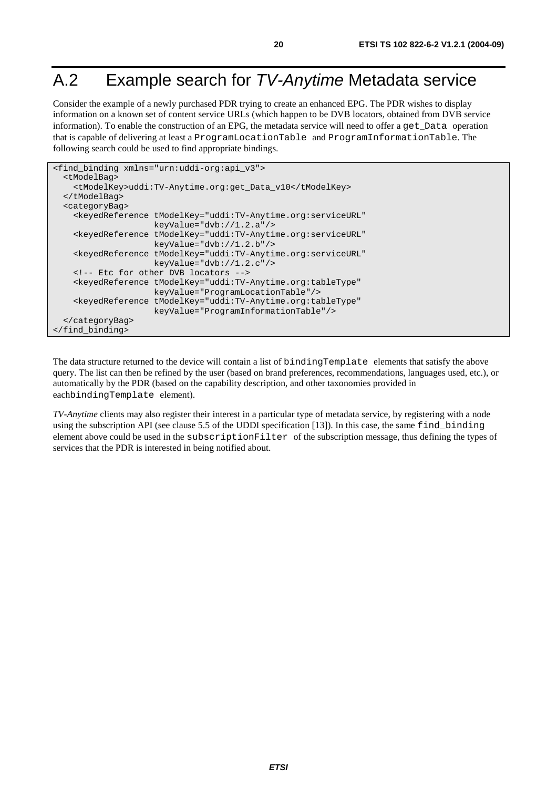### A.2 Example search for TV-Anytime Metadata service

Consider the example of a newly purchased PDR trying to create an enhanced EPG. The PDR wishes to display information on a known set of content service URLs (which happen to be DVB locators, obtained from DVB service information). To enable the construction of an EPG, the metadata service will need to offer a get\_Data operation that is capable of delivering at least a ProgramLocationTable and ProgramInformationTable. The following search could be used to find appropriate bindings.

```
<find_binding xmlns="urn:uddi-org:api_v3"> 
   <tModelBag> 
     <tModelKey>uddi:TV-Anytime.org:get_Data_v10</tModelKey> 
   </tModelBag> 
   <categoryBag> 
     <keyedReference tModelKey="uddi:TV-Anytime.org:serviceURL" 
                      keyValue="dvb://1.2.a"/> 
     <keyedReference tModelKey="uddi:TV-Anytime.org:serviceURL" 
                     keyValue="dvb://1.2.b"/> 
     <keyedReference tModelKey="uddi:TV-Anytime.org:serviceURL" 
                      keyValue="dvb://1.2.c"/> 
     <!-- Etc for other DVB locators --> 
     <keyedReference tModelKey="uddi:TV-Anytime.org:tableType" 
                      keyValue="ProgramLocationTable"/> 
     <keyedReference tModelKey="uddi:TV-Anytime.org:tableType" 
                      keyValue="ProgramInformationTable"/> 
   </categoryBag> 
</find_binding>
```
The data structure returned to the device will contain a list of bindingTemplate elements that satisfy the above query. The list can then be refined by the user (based on brand preferences, recommendations, languages used, etc.), or automatically by the PDR (based on the capability description, and other taxonomies provided in eachbindingTemplate element).

*TV-Anytime* clients may also register their interest in a particular type of metadata service, by registering with a node using the subscription API (see clause 5.5 of the UDDI specification [13]). In this case, the same find\_binding element above could be used in the subscriptionFilter of the subscription message, thus defining the types of services that the PDR is interested in being notified about.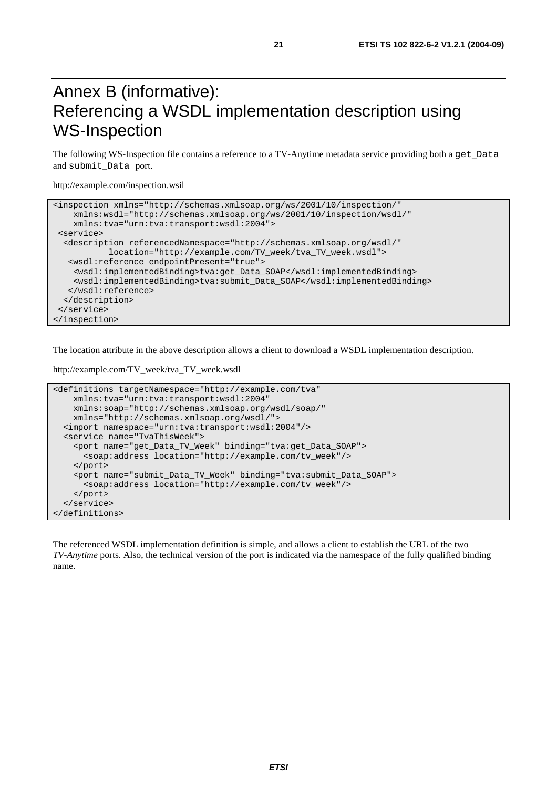### Annex B (informative): Referencing a WSDL implementation description using WS-Inspection

The following WS-Inspection file contains a reference to a TV-Anytime metadata service providing both a get\_Data and submit\_Data port.

http://example.com/inspection.wsil

```
<inspection xmlns="http://schemas.xmlsoap.org/ws/2001/10/inspection/" 
    xmlns:wsdl="http://schemas.xmlsoap.org/ws/2001/10/inspection/wsdl/" 
    xmlns:tva="urn:tva:transport:wsdl:2004"> 
 <service> 
  <description referencedNamespace="http://schemas.xmlsoap.org/wsdl/" 
            location="http://example.com/TV_week/tva_TV_week.wsdl"> 
   <wsdl:reference endpointPresent="true"> 
    <wsdl:implementedBinding>tva:get_Data_SOAP</wsdl:implementedBinding> 
    <wsdl:implementedBinding>tva:submit_Data_SOAP</wsdl:implementedBinding> 
   </wsdl:reference> 
  </description> 
 </service> 
</inspection>
```
The location attribute in the above description allows a client to download a WSDL implementation description.

```
http://example.com/TV_week/tva_TV_week.wsdl
```

```
<definitions targetNamespace="http://example.com/tva" 
     xmlns:tva="urn:tva:transport:wsdl:2004" 
     xmlns:soap="http://schemas.xmlsoap.org/wsdl/soap/" 
    xmlns="http://schemas.xmlsoap.org/wsdl/"> 
   <import namespace="urn:tva:transport:wsdl:2004"/> 
   <service name="TvaThisWeek"> 
     <port name="get_Data_TV_Week" binding="tva:get_Data_SOAP"> 
       <soap:address location="http://example.com/tv_week"/> 
     </port> 
     <port name="submit_Data_TV_Week" binding="tva:submit_Data_SOAP"> 
       <soap:address location="http://example.com/tv_week"/> 
     </port> 
   </service> 
</definitions>
```
The referenced WSDL implementation definition is simple, and allows a client to establish the URL of the two *TV-Anytime* ports. Also, the technical version of the port is indicated via the namespace of the fully qualified binding name.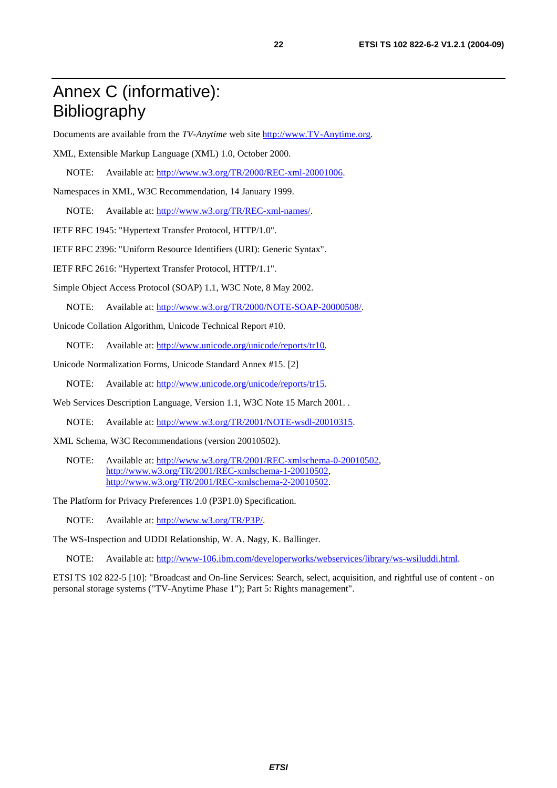### Annex C (informative): Bibliography

Documents are available from the *TV-Anytime* web site [http://www.TV-Anytime.org.](http://www.tv-anytime.org/)

XML, Extensible Markup Language (XML) 1.0, October 2000.

NOTE: Available at:<http://www.w3.org/TR/2000/REC-xml-20001006>.

Namespaces in XML, W3C Recommendation, 14 January 1999.

NOTE: Available at: [http://www.w3.org/TR/REC-xml-names/.](http://www.w3.org/TR/REC-xml-names/)

IETF RFC 1945: "Hypertext Transfer Protocol, HTTP/1.0".

IETF RFC 2396: "Uniform Resource Identifiers (URI): Generic Syntax".

IETF RFC 2616: "Hypertext Transfer Protocol, HTTP/1.1".

Simple Object Access Protocol (SOAP) 1.1, W3C Note, 8 May 2002.

NOTE: Available at:<http://www.w3.org/TR/2000/NOTE-SOAP-20000508/>.

Unicode Collation Algorithm, Unicode Technical Report #10.

NOTE: Available at: [http://www.unicode.org/unicode/reports/tr10.](http://www.unicode.org/unicode/reports/tr10)

Unicode Normalization Forms, Unicode Standard Annex #15. [2]

NOTE: Available at: [http://www.unicode.org/unicode/reports/tr15.](http://www.unicode.org/unicode/reports/tr15)

Web Services Description Language, Version 1.1, W3C Note 15 March 2001. .

NOTE: Available at: [http://www.w3.org/TR/2001/NOTE-wsdl-20010315.](http://www.w3.org/TR/2001/NOTE-wsdl-20010315)

XML Schema, W3C Recommendations (version 20010502).

NOTE: Available at: [http://www.w3.org/TR/2001/REC-xmlschema-0-20010502,](http://www.w3.org/TR/2001/REC-xmlschema-0-20010502) [http://www.w3.org/TR/2001/REC-xmlschema-1-20010502,](http://www.w3.org/TR/2001/REC-xmlschema-1-20010502) [http://www.w3.org/TR/2001/REC-xmlschema-2-20010502.](http://www.w3.org/XML/Schema)

The Platform for Privacy Preferences 1.0 (P3P1.0) Specification.

NOTE: Available at: [http://www.w3.org/TR/P3P/.](http://www.w3.org/TR/P3P/)

The WS-Inspection and UDDI Relationship, W. A. Nagy, K. Ballinger.

NOTE: Available at: [http://www-106.ibm.com/developerworks/webservices/library/ws-wsiluddi.html.](http://www-106.ibm.com/developerworks/webservices/library/ws-wsiluddi.html)

ETSI TS 102 822-5 [10]: "Broadcast and On-line Services: Search, select, acquisition, and rightful use of content - on personal storage systems ("TV-Anytime Phase 1"); Part 5: Rights management".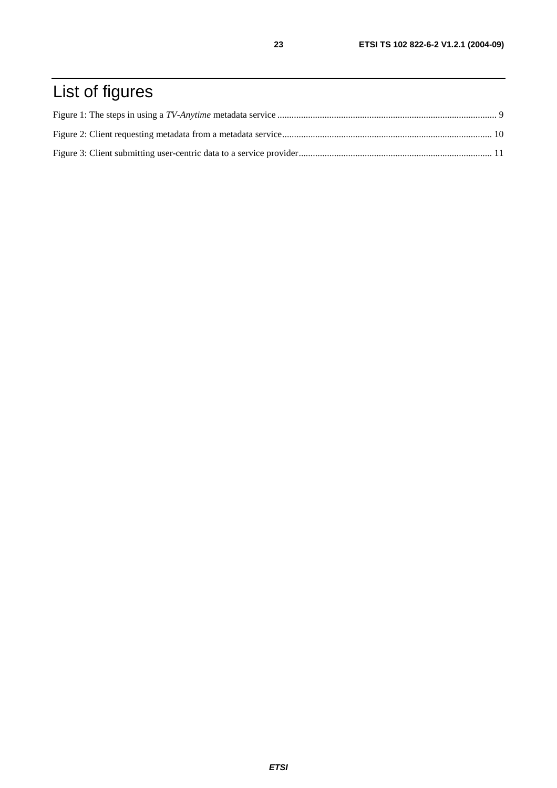# List of figures